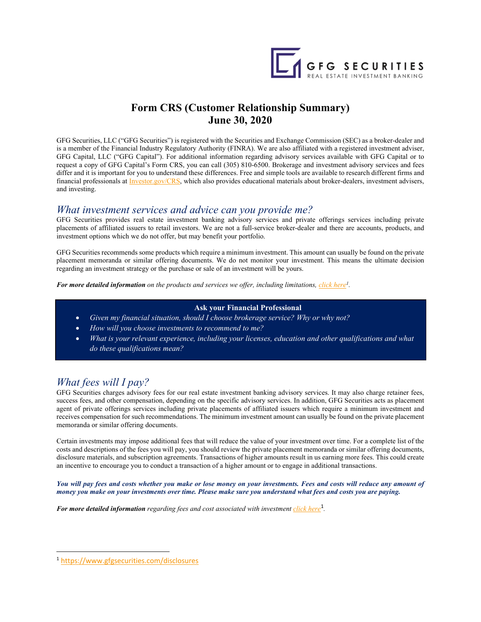

# **Form CRS (Customer Relationship Summary) June 30, 2020**

GFG Securities, LLC ("GFG Securities") is registered with the Securities and Exchange Commission (SEC) as a broker-dealer and is a member of the Financial Industry Regulatory Authority (FINRA). We are also affiliated with a registered investment adviser, GFG Capital, LLC ("GFG Capital"). For additional information regarding advisory services available with GFG Capital or to request a copy of GFG Capital's Form CRS, you can call (305) 810-6500. Brokerage and investment advisory services and fees differ and it is important for you to understand these differences. Free and simple tools are available to research different firms and financial professionals at *Investor.gov/CRS*, which also provides educational materials about broker-dealers, investment advisers, and investing.

## *What investment services and advice can you provide me?*

GFG Securities provides real estate investment banking advisory services and private offerings services including private placements of affiliated issuers to retail investors. We are not a full-service broker-dealer and there are accounts, products, and investment options which we do not offer, but may benefit your portfolio.

GFG Securities recommends some products which require a minimum investment. This amount can usually be found on the private placement memoranda or similar offering documents. We do not monitor your investment. This means the ultimate decision regarding an investment strategy or the purchase or sale of an investment will be yours.

*For more detailed information* on the products and services we offer, including limitations, click here<sup>1</sup>.

### **Ask your Financial Professional**

- *Given my financial situation, should I choose brokerage service? Why or why not?*
- *How will you choose investments to recommend to me?*
- *What is your relevant experience, including your licenses, education and other qualifications and what do these qualifications mean?*

# *What fees will I pay?*

GFG Securities charges advisory fees for our real estate investment banking advisory services. It may also charge retainer fees, success fees, and other compensation, depending on the specific advisory services. In addition, GFG Securities acts as placement agent of private offerings services including private placements of affiliated issuers which require a minimum investment and receives compensation for such recommendations. The minimum investment amount can usually be found on the private placement memoranda or similar offering documents.

Certain investments may impose additional fees that will reduce the value of your investment over time. For a complete list of the costs and descriptions of the fees you will pay, you should review the private placement memoranda or similar offering documents, disclosure materials, and subscription agreements. Transactions of higher amounts result in us earning more fees. This could create an incentive to encourage you to conduct a transaction of a higher amount or to engage in additional transactions.

*You will pay fees and costs whether you make or lose money on your investments. Fees and costs will reduce any amount of money you make on your investments over time. Please make sure you understand what fees and costs you are paying.* 

For more detailed information regarding fees and cost associated with investment *click here*<sup>1</sup>.

<sup>1</sup> https://www.gfgsecurities.com/disclosures